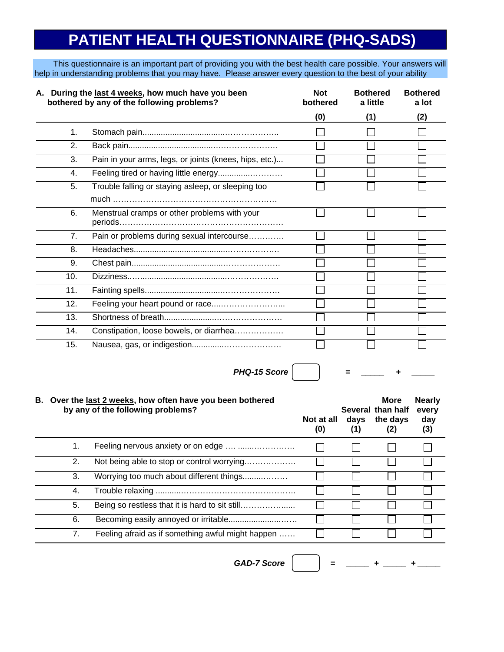## **PATIENT HEALTH QUESTIONNAIRE (PHQ-SADS)**

This questionnaire is an important part of providing you with the best health care possible. Your answers will help in understanding problems that you may have. Please answer every question to the best of your ability

| A. During the last 4 weeks, how much have you been<br>bothered by any of the following problems? |                                                        | <b>Not</b><br>bothered | <b>Bothered</b><br>a little | <b>Bothered</b><br>a lot |
|--------------------------------------------------------------------------------------------------|--------------------------------------------------------|------------------------|-----------------------------|--------------------------|
|                                                                                                  |                                                        | (0)                    | (1)                         | (2)                      |
| 1.                                                                                               |                                                        |                        |                             |                          |
| 2.                                                                                               |                                                        |                        |                             |                          |
| 3.                                                                                               | Pain in your arms, legs, or joints (knees, hips, etc.) |                        |                             |                          |
| 4.                                                                                               |                                                        |                        |                             |                          |
| 5.                                                                                               | Trouble falling or staying asleep, or sleeping too     |                        |                             |                          |
|                                                                                                  |                                                        |                        |                             |                          |
| 6.                                                                                               | Menstrual cramps or other problems with your           |                        |                             |                          |
| 7.                                                                                               | Pain or problems during sexual intercourse             |                        |                             |                          |
| 8.                                                                                               |                                                        |                        |                             |                          |
| 9.                                                                                               |                                                        |                        |                             |                          |
| 10.                                                                                              |                                                        |                        |                             |                          |
| 11.                                                                                              |                                                        |                        |                             |                          |
| 12.                                                                                              |                                                        |                        |                             |                          |
| 13.                                                                                              |                                                        |                        |                             |                          |
| 14.                                                                                              | Constipation, loose bowels, or diarrhea                |                        |                             |                          |
| 15.                                                                                              |                                                        |                        |                             |                          |

*PHQ-15 Score*  $|$   $|$   $=$   $|$   $=$   $|$   $+$ 

## **B. Over the last 2 weeks, how often have you been bothered More Nearly by any of the following problems? Several than half every Not at all days the days day (0) (1) (2) (3)** 1. Feeling nervous anxiety or on edge .... ......................  $\Box$ П П П 2. Not being able to stop or control worrying.………………  $\Box$  $\Box$  $\overline{\phantom{a}}$  $\Box$ 3. Worrying too much about different things.........………  $\Box$  $\Box$  $\Box$ 4. Trouble relaxing ...........……………………………………  $\Box$ П ┓  $\Box$ 5. Being so restless that it is hard to sit still…………………  $\mathcal{L}_{\mathcal{A}}$  $\Box$  6. Becoming easily annoyed or irritable.......................……  $\Box$  $\Box$  7. Feeling afraid as if something awful might happen ……  $\Box$  $\Box$ П

 $GAD-7$  Score  $|$   $|$  =  $|$  =  $|$  +  $|$  +  $|$